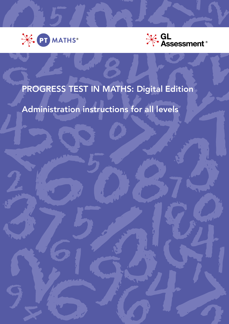



# PROGRESS TEST IN MATHS: Digital Edition

Administration instructions for all levels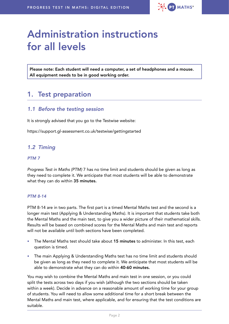

# Administration instructions for all levels

Please note: Each student will need a computer, a set of headphones and a mouse. All equipment needs to be in good working order.

## 1. Test preparation

## *1.1 Before the testing session*

It is strongly advised that you go to the Testwise website:

<https://support.gl-assessment.co.uk/testwise/gettingstarted>

### *1.2 Timing*

#### *PTM 7*

*Progress Test in Maths (PTM)* 7 has no time limit and students should be given as long as they need to complete it. We anticipate that most students will be able to demonstrate what they can do within 35 minutes.

#### *PTM 8-14*

PTM 8-14 are in two parts. The first part is a timed Mental Maths test and the second is a longer main test (Applying & Understanding Maths). It is important that students take both the Mental Maths and the main test, to give you a wider picture of their mathematical skills. Results will be based on combined scores for the Mental Maths and main test and reports will not be available until both sections have been completed.

- The Mental Maths test should take about 15 minutes to administer. In this test, each question is timed.
- The main Applying & Understanding Maths test has no time limit and students should be given as long as they need to complete it. We anticipate that most students will be able to demonstrate what they can do within 40-60 minutes.

You may wish to combine the Mental Maths and main test in one session, or you could split the tests across two days if you wish (although the two sections should be taken within a week). Decide in advance on a reasonable amount of working time for your group of students. You will need to allow some additional time for a short break between the Mental Maths and main test, where applicable, and for ensuring that the test conditions are suitable.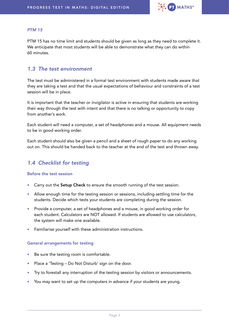

#### *PTM 15*

PTM 15 has no time limit and students should be given as long as they need to complete it. We anticipate that most students will be able to demonstrate what they can do within 60 minutes.

## *1.3 The test environment*

The test must be administered in a formal test environment with students made aware that they are taking a test and that the usual expectations of behaviour and constraints of a test session will be in place.

It is important that the teacher or invigilator is active in ensuring that students are working their way through the test with intent and that there is no talking or opportunity to copy from another's work.

Each student will need a computer, a set of headphones and a mouse. All equipment needs to be in good working order.

Each student should also be given a pencil and a sheet of rough paper to do any working out on. This should be handed back to the teacher at the end of the test and thrown away.

## *1.4 Checklist for testing*

#### Before the test session

- Carry out the Setup Check to ensure the smooth running of the test session.
- Allow enough time for the testing session or sessions, including settling time for the students. Decide which tests your students are completing during the session.
- Provide a computer, a set of headphones and a mouse, in good working order for each student. Calculators are NOT allowed. If students are allowed to use calculators, the system will make one available.
- Familiarise yourself with these administration instructions.

#### General arrangements for testing

- Be sure the testing room is comfortable.
- Place a 'Testing Do Not Disturb' sign on the door.
- Try to forestall any interruption of the testing session by visitors or announcements.
- You may want to set up the computers in advance if your students are young.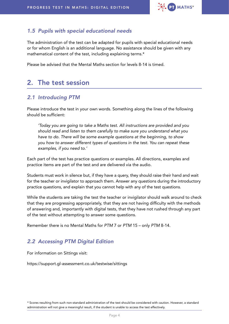

## *1.5 Pupils with special educational needs*

The administration of the test can be adapted for pupils with special educational needs or for whom English is an additional language. No assistance should be given with any mathematical content of the test, including explaining terms.\*

Please be advised that the Mental Maths section for levels 8-14 is timed.

## 2. The test session

### *2.1 Introducing PTM*

Please introduce the test in your own words. Something along the lines of the following should be sufficient:

 *'Today you are going to take a Maths test. All instructions are provided and you should read and listen to them carefully to make sure you understand what you have to do. There will be some example questions at the beginning, to show you how to answer different types of questions in the test. You can repeat these examples, if you need to.'*

Each part of the test has practice questions or examples. All directions, examples and practice items are part of the test and are delivered via the audio.

Students must work in silence but, if they have a query, they should raise their hand and wait for the teacher or invigilator to approach them. Answer any questions during the introductory practice questions, and explain that you cannot help with any of the test questions.

While the students are taking the test the teacher or invigilator should walk around to check that they are progressing appropriately, that they are not having difficulty with the methods of answering and, importantly with digital tests, that they have not rushed through any part of the test without attempting to answer some questions.

Remember there is no Mental Maths for *PTM* 7 or *PTM* 15 – only *PTM* 8-14.

## *2.2 Accessing PTM Digital Edition*

For information on Sittings visit:

<https://support.gl-assessment.co.uk/testwise/sittings>

<sup>\*</sup> Scores resulting from such non-standard administration of the test should be considered with caution. However, a standard administration will not give a meaningful result, if the student is unable to access the test effectively.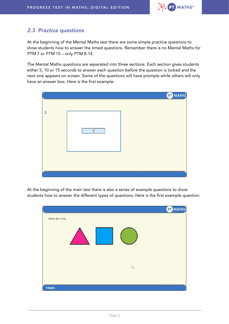

## *2.3 Practice questions*

At the beginning of the Mental Maths test there are some simple practice questions to show students how to answer the timed questions. Remember there is no Mental Maths for *PTM* 7 or *PTM* 15 – only *PTM* 8-14.

The Mental Maths questions are separated into three sections. Each section gives students either 5, 10 or 15 seconds to answer each question before the question is locked and the next one appears on screen. Some of the questions will have prompts while others will only have an answer box. Here is the first example:



At the beginning of the main test there is also a series of example questions to show students how to answer the different types of questions. Here is the first example question:

|                    | <b>PT</b> MATHS |
|--------------------|-----------------|
| Select the circle. |                 |
|                    |                 |
| $\mathbb{Q}$       |                 |
| <b>4 Back</b>      |                 |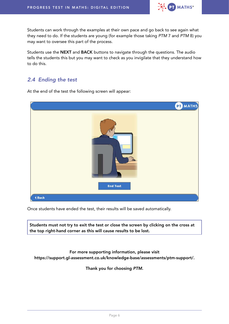

Students can work through the examples at their own pace and go back to see again what they need to do. If the students are young (for example those taking *PTM* 7 and *PTM* 8) you may want to oversee this part of the process.

Students use the NEXT and BACK buttons to navigate through the questions. The audio tells the students this but you may want to check as you invigilate that they understand how to do this.

## *2.4 Ending the test*

At the end of the test the following screen will appear:



Once students have ended the test, their results will be saved automatically.

Students must not try to exit the test or close the screen by clicking on the cross at the top right-hand corner as this will cause results to be lost.

For more supporting information, please visit [https://support.gl-assessment.co.uk/knowledge-base/assessments/ptm-support/.](https://support.gl-assessment.co.uk/knowledge-base/assessments/ptm-support/)

Thank you for choosing *PTM*.